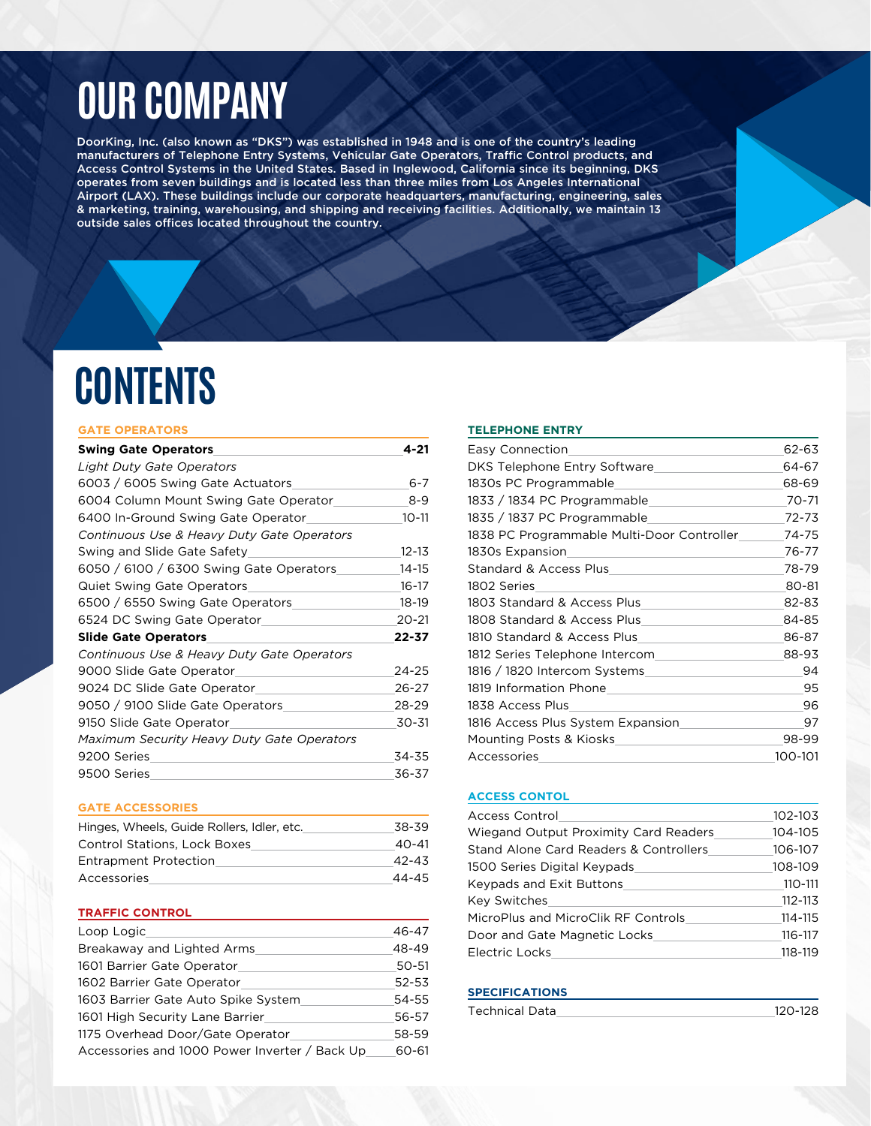# **OUR COMPANY**

DoorKing, Inc. (also known as "DKS") was established in 1948 and is one of the country's leading manufacturers of Telephone Entry Systems, Vehicular Gate Operators, Traffic Control products, and Access Control Systems in the United States. Based in Inglewood, California since its beginning, DKS operates from seven buildings and is located less than three miles from Los Angeles International Airport (LAX). These buildings include our corporate headquarters, manufacturing, engineering, sales & marketing, training, warehousing, and shipping and receiving facilities. Additionally, we maintain 13 outside sales offices located throughout the country.

# **CONTENTS**

#### **GATE OPERATORS**

| <b>Swing Gate Operators</b>                       | 4-21      |
|---------------------------------------------------|-----------|
| Light Duty Gate Operators                         |           |
| 6003 / 6005 Swing Gate Actuators                  | $6 - 7$   |
| 6004 Column Mount Swing Gate Operator             | $8 - 9$   |
| 6400 In-Ground Swing Gate Operator                | $10 - 11$ |
| Continuous Use & Heavy Duty Gate Operators        |           |
| Swing and Slide Gate Safety                       | $12 - 13$ |
| 6050 / 6100 / 6300 Swing Gate Operators           | 14-15     |
| <b>Quiet Swing Gate Operators</b>                 | $16 - 17$ |
| 6500 / 6550 Swing Gate Operators                  | 18-19     |
| 6524 DC Swing Gate Operator                       | $20 - 21$ |
| <b>Slide Gate Operators</b>                       | 22-37     |
| Continuous Use & Heavy Duty Gate Operators        |           |
| 9000 Slide Gate Operator                          | 24-25     |
| 9024 DC Slide Gate Operator                       | $26 - 27$ |
| 9050 / 9100 Slide Gate Operators                  | 28-29     |
| 9150 Slide Gate Operator                          | 30-31     |
| <b>Maximum Security Heavy Duty Gate Operators</b> |           |
| 9200 Series                                       | 34-35     |
| 9500 Series                                       | 36-37     |

#### **GATE ACCESSORIES**

| Hinges, Wheels, Guide Rollers, Idler, etc. | 38-39 |
|--------------------------------------------|-------|
| <b>Control Stations, Lock Boxes</b>        | 40-41 |
| <b>Entrapment Protection</b>               | 42-43 |
| Accessories                                | 44-45 |

#### **TRAFFIC CONTROL**

| Loop Logic                                    | 46-47 |
|-----------------------------------------------|-------|
| Breakaway and Lighted Arms                    | 48-49 |
| 1601 Barrier Gate Operator                    | 50-51 |
| 1602 Barrier Gate Operator                    | 52-53 |
| 1603 Barrier Gate Auto Spike System           | 54-55 |
| 1601 High Security Lane Barrier               | 56-57 |
| 1175 Overhead Door/Gate Operator              | 58-59 |
| Accessories and 1000 Power Inverter / Back Up | 60-61 |

#### **TELEPHONE ENTRY**

| Easy Connection                            | 62-63     |
|--------------------------------------------|-----------|
| DKS Telephone Entry Software               | 64-67     |
| 1830s PC Programmable                      | 68-69     |
| 1833 / 1834 PC Programmable                | $70 - 71$ |
| 1835 / 1837 PC Programmable                | $72 - 73$ |
| 1838 PC Programmable Multi-Door Controller | 74-75     |
| 1830s Expansion                            | 76-77     |
| Standard & Access Plus                     | 78-79     |
| 1802 Series                                | 80-81     |
| 1803 Standard & Access Plus                | 82-83     |
| 1808 Standard & Access Plus                | 84-85     |
| 1810 Standard & Access Plus                | 86-87     |
| 1812 Series Telephone Intercom             | 88-93     |
| 1816 / 1820 Intercom Systems               | 94        |
| 1819 Information Phone                     | 95        |
| 1838 Access Plus                           | 96        |
| 1816 Access Plus System Expansion          | 97        |
| <b>Mounting Posts &amp; Kiosks</b>         | 98-99     |
| Accessories                                | 100-101   |
|                                            |           |

#### **ACCESS CONTOL**

| Access Control                         | 102-103 |
|----------------------------------------|---------|
| Wiegand Output Proximity Card Readers  | 104-105 |
| Stand Alone Card Readers & Controllers | 106-107 |
| 1500 Series Digital Keypads            | 108-109 |
| Keypads and Exit Buttons               | 110-111 |
| <b>Key Switches</b>                    | 112-113 |
| MicroPlus and MicroClik RF Controls    | 114-115 |
| Door and Gate Magnetic Locks           | 116-117 |
| Electric Locks                         | 118-119 |

#### **SPECIFICATIONS**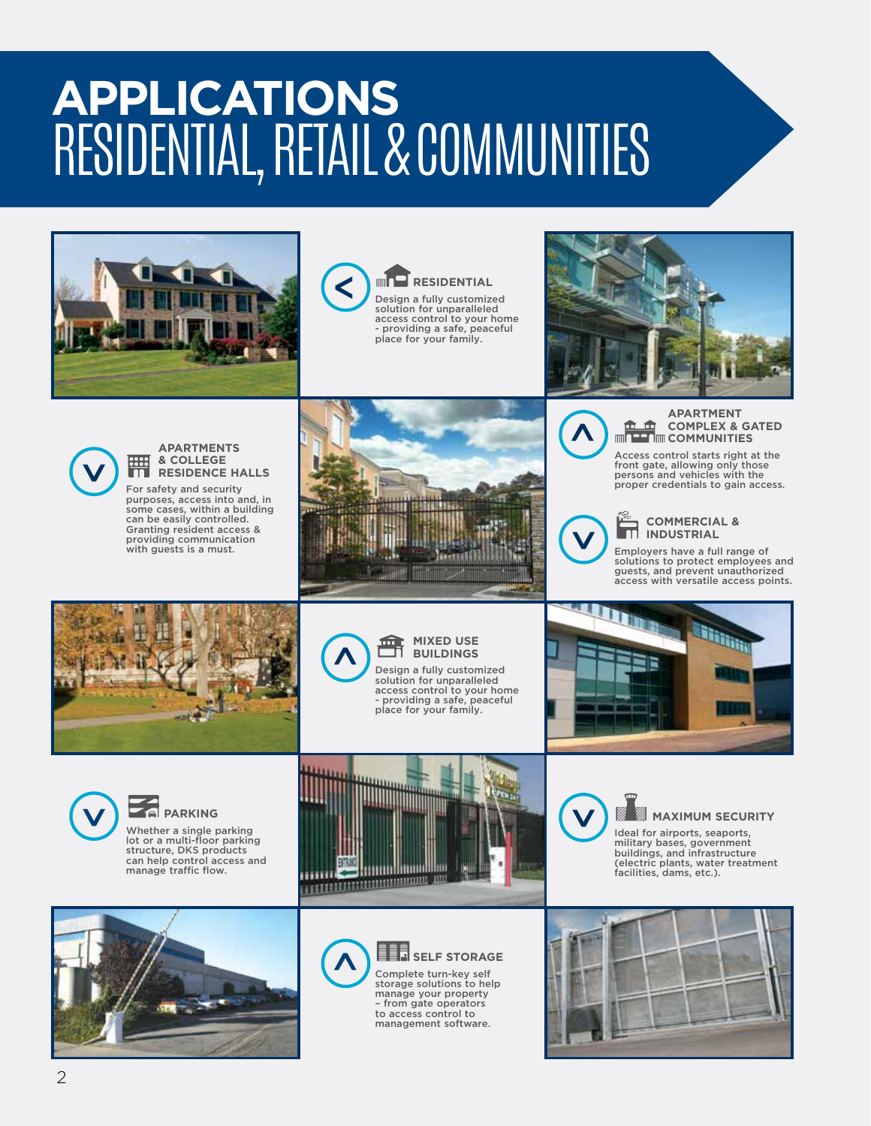# **APPLICATIONS** RESIDENTIAL, RETAIL & COMMUNITIES





**RESIDENTIAL** Design a fully customized solution for unparalleled access control to your home - providing a safe, peaceful place for your family.





#### **APARTMENTS & COLLEGE RESIDENCE HALLS**

For safety and security purposes, access into and, in some cases, within a building can be easily controlled. Granting resident access & providing communication with guests is a must.





**>**

#### **COMMERCIAL & INDUSTRIAL**

**COMMUNITIES** Access control starts right at the

Employers have a full range of solutions to protect employees and guests, and prevent unauthorized access with versatile access points.

**COMPLEX & GATED** 





**MIXED USE BUILDINGS**  Design a fully customized solution for unparalleled access control to your home





**PARKING** Whether a single parking

lot or a multi-floor parking structure, DKS products can help control access and manage traffic flow.







**SELF** STORAGE Complete turn-key self storage solutions to help manage your property – from gate operators to access control to management software.



#### **MAXIMUM SECURITY**

Ideal for airports, seaports, military bases, government buildings, and infrastructure (electric plants, water treatment facilities, dams, etc.).